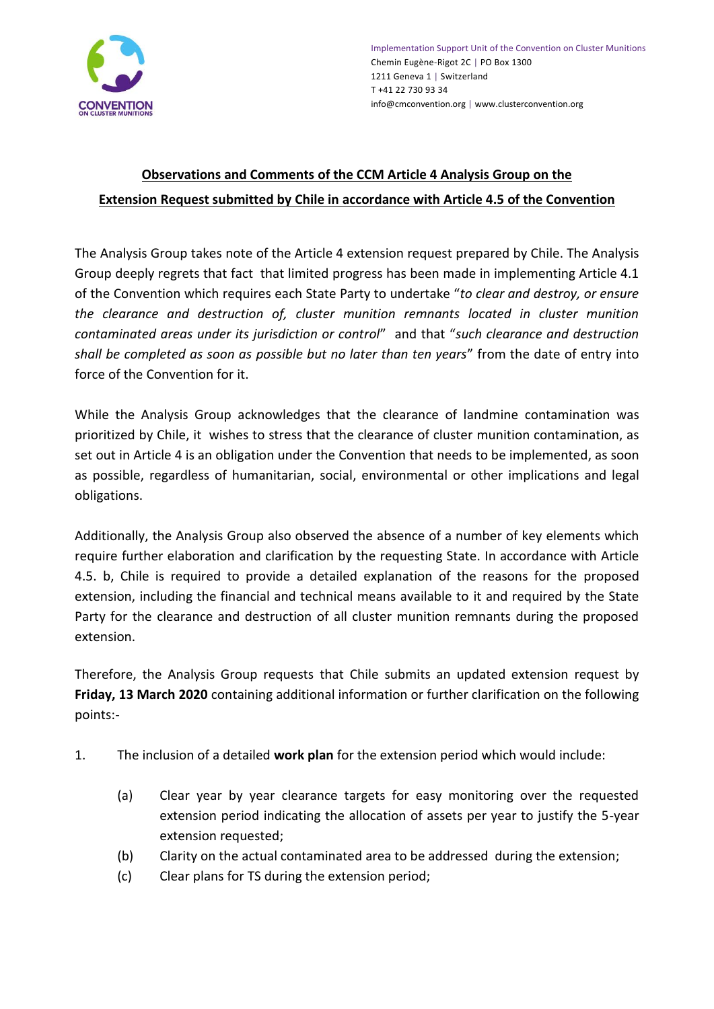

## **Observations and Comments of the CCM Article 4 Analysis Group on the Extension Request submitted by Chile in accordance with Article 4.5 of the Convention**

The Analysis Group takes note of the Article 4 extension request prepared by Chile. The Analysis Group deeply regrets that fact that limited progress has been made in implementing Article 4.1 of the Convention which requires each State Party to undertake "*to clear and destroy, or ensure the clearance and destruction of, cluster munition remnants located in cluster munition contaminated areas under its jurisdiction or control*" and that "*such clearance and destruction shall be completed as soon as possible but no later than ten years*" from the date of entry into force of the Convention for it.

While the Analysis Group acknowledges that the clearance of landmine contamination was prioritized by Chile, it wishes to stress that the clearance of cluster munition contamination, as set out in Article 4 is an obligation under the Convention that needs to be implemented, as soon as possible, regardless of humanitarian, social, environmental or other implications and legal obligations.

Additionally, the Analysis Group also observed the absence of a number of key elements which require further elaboration and clarification by the requesting State. In accordance with Article 4.5. b, Chile is required to provide a detailed explanation of the reasons for the proposed extension, including the financial and technical means available to it and required by the State Party for the clearance and destruction of all cluster munition remnants during the proposed extension.

Therefore, the Analysis Group requests that Chile submits an updated extension request by **Friday, 13 March 2020** containing additional information or further clarification on the following points:-

- 1. The inclusion of a detailed **work plan** for the extension period which would include:
	- (a) Clear year by year clearance targets for easy monitoring over the requested extension period indicating the allocation of assets per year to justify the 5-year extension requested;
	- (b) Clarity on the actual contaminated area to be addressed during the extension;
	- (c) Clear plans for TS during the extension period;